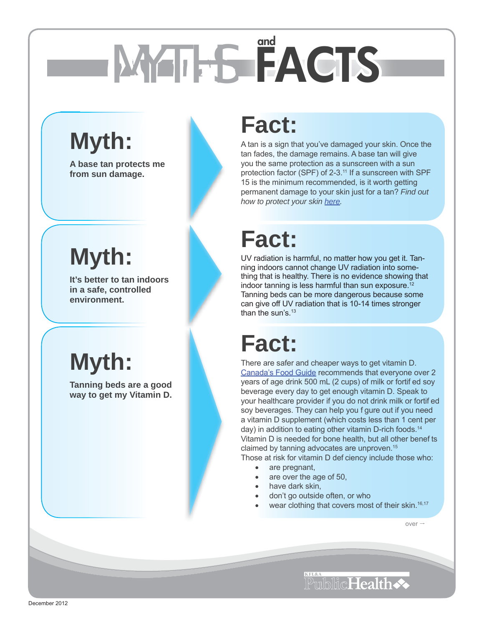# MYTHS **FACTS and**

## **Myth:**

**A base tan protects me from sun damage.**

## **Myth:**

**It's better to tan indoors in a safe, controlled environment.**

## **Myth:**

**Tanning beds are a good way to get my Vitamin D.**

#### **Fact:**

A tan is a sign that you've damaged your skin. Once the tan fades, the damage remains. A base tan will give you the same protection as a sunscreen with a sun protection factor (SPF) of 2-3.<sup>11</sup> If a sunscreen with SPF 15 is the minimum recommended, is it worth getting permanent damage to your skin just for a tan? *Find out how to protect your ski[n here.](http://www.kflapublichealth.ca/Files/Resources/Protecting_Your_Skin.pdf)*

### **Fact:**

UV radiation is harmful, no matter how you get it. Tanning indoors cannot change UV radiation into something that is healthy. There is no evidence showing that indoor tanning is less harmful than sun exposure.<sup>12</sup> Tanning beds can be more dangerous because some can give off UV radiation that is 10-14 times stronger than the sun's.<sup>13</sup>

### **Fact:**

There are safer and cheaper ways to get vitamin D. [Canada's Food Guide r](http://www.eatrightontario.ca/en/Articles/Food-guides/Eating-well-with-Canada-s-Food-Guide.aspx)ecommends that everyone over 2 years of age drink 500 mL (2 cups) of milk or fortif ed soy beverage every day to get enough vitamin D. Speak to your healthcare provider if you do not drink milk or fortif ed soy beverages. They can help you f gure out if you need a vitamin D supplement (which costs less than 1 cent per day) in addition to eating other vitamin D-rich foods[.14](http://www.kflapublichealth.ca/Files/Resources/Facts_on_Tanning_References.pdf) Vitamin D is needed for bone health, but all other benef ts claimed by tanning advocates are unproven[.15](http://www.kflapublichealth.ca/Files/Resources/Facts_on_Tanning_References.pdf)

Those at risk for vitamin D def ciency include those who:

- are pregnant.
- are over the age of 50,
- have dark skin,
- don't go outside often, or who
- wear clothing that covers most of their skin.<sup>16,17</sup>

over  $\rightarrow$ 

PublicHealth <>